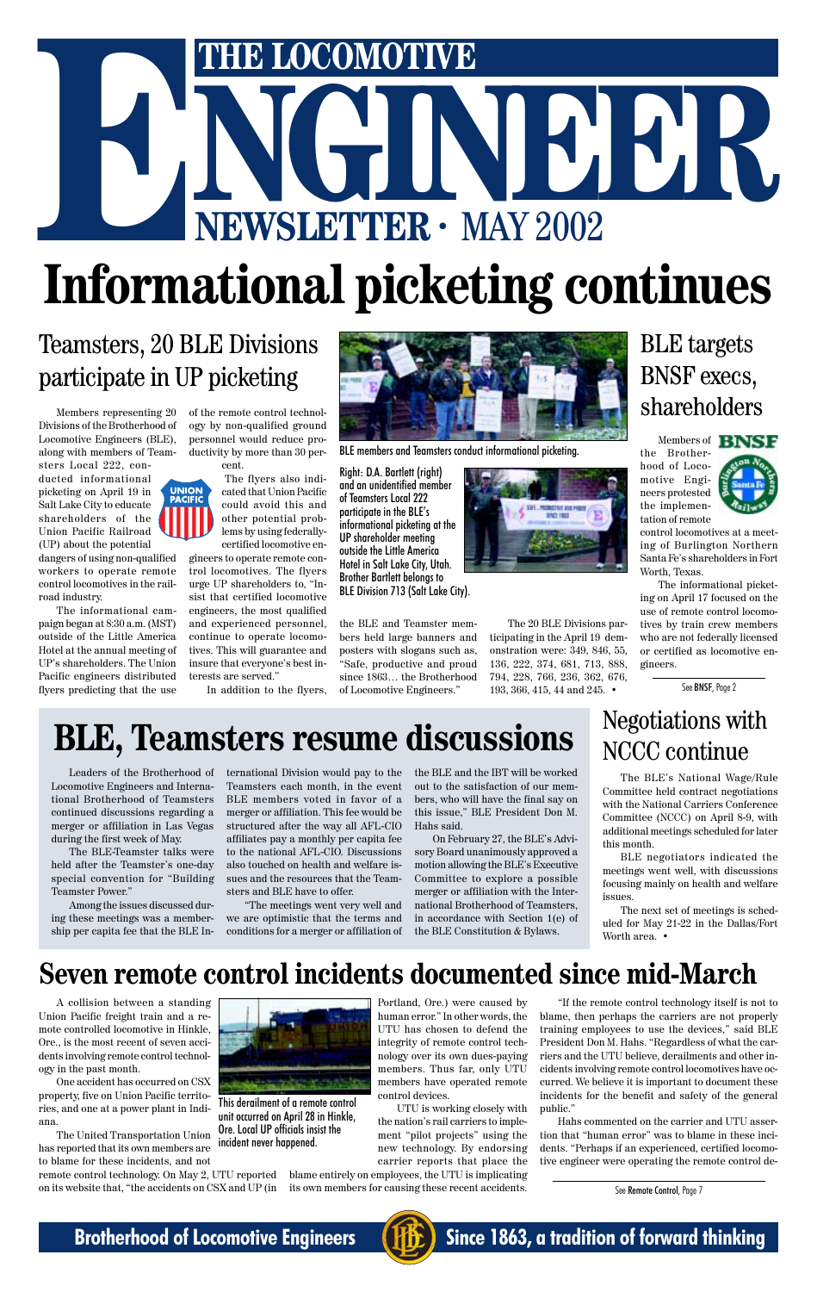# THE LOCOMOTIVE<br>
NEWSLETTER · MAY 2002 **ENEXAGE AND REWSLETTER ·** MAY 2002 **Informational picketing continues**

Members representing 20 Divisions of the Brotherhood of Locomotive Engineers (BLE), along with members of Team-

sters Local 222, conducted informational picketing on April 19 in Salt Lake City to educate shareholders of the Union Pacific Railroad (UP) about the potential

dangers of using non-qualified workers to operate remote control locomotives in the railroad industry.

The informational campaign began at 8:30 a.m. (MST) outside of the Little America Hotel at the annual meeting of UP's shareholders. The Union Pacific engineers distributed flyers predicting that the use

Members of **BNSF** the Brotherhood of Locomotive Engineers protested the implementation of remote



### Teamsters, 20 BLE Divisions participate in UP picketing

of the remote control technology by non-qualified ground

personnel would reduce productivity by more than 30 percent. The flyers also indicated that Union Pacific

could avoid this and other potential problems by using federallycertified locomotive en-

gineers to operate remote control locomotives. The flyers urge UP shareholders to, "Insist that certified locomotive engineers, the most qualified and experienced personnel, continue to operate locomotives. This will guarantee and insure that everyone's best interests are served."

In addition to the flyers,

control locomotives at a meeting of Burlington Northern Santa Fe's shareholders in Fort Worth, Texas.

The informational picketing on April 17 focused on the use of remote control locomotives by train crew members who are not federally licensed or certified as locomotive engineers.

### BLE targets BNSF execs, shareholders



BLE members and Teamsters conduct informational picketing.

the BLE and Teamster members held large banners and posters with slogans such as, "Safe, productive and proud since 1863… the Brotherhood of Locomotive Engineers."



The 20 BLE Divisions participating in the April 19 demonstration were: 349, 846, 55, 136, 222, 374, 681, 713, 888, 794, 228, 766, 236, 362, 676, 193, 366, 415, 44 and 245. •

### **Seven remote control incidents documented since mid-March**

A collision between a standing Union Pacific freight train and a remote controlled locomotive in Hinkle, Ore., is the most recent of seven accidents involving remote control technology in the past month.

The next set of meetings is scheduled for May 21-22 in the Dallas/Fort Worth area. •



One accident has occurred on CSX property, five on Union Pacific territories, and one at a power plant in Indiana.

The United Transportation Union has reported that its own members are to blame for these incidents, and not



Portland, Ore.) were caused by human error." In other words, the UTU has chosen to defend the integrity of remote control technology over its own dues-paying members. Thus far, only UTU members have operated remote control devices.

remote control technology. On May 2, UTU reported blame entirely on employees, the UTU is implicating on its website that, "the accidents on CSX and UP (in its own members for causing these recent accidents.

UTU is working closely with the nation's rail carriers to implement "pilot projects" using the new technology. By endorsing carrier reports that place the See BNSF, Page 2

# **BLE, Teamsters resume discussions**

Leaders of the Brotherhood of Locomotive Engineers and International Brotherhood of Teamsters continued discussions regarding a merger or affiliation in Las Vegas during the first week of May.

The BLE-Teamster talks were held after the Teamster's one-day special convention for "Building Teamster Power."

Among the issues discussed during these meetings was a membership per capita fee that the BLE International Division would pay to the Teamsters each month, in the event BLE members voted in favor of a merger or affiliation. This fee would be structured after the way all AFL-CIO affiliates pay a monthly per capita fee to the national AFL-CIO. Discussions also touched on health and welfare issues and the resources that the Teamsters and BLE have to offer.

"The meetings went very well and we are optimistic that the terms and conditions for a merger or affiliation of the BLE and the IBT will be worked out to the satisfaction of our members, who will have the final say on this issue," BLE President Don M. Hahs said.

On February 27, the BLE's Advisory Board unanimously approved a motion allowing the BLE's Executive Committee to explore a possible merger or affiliation with the International Brotherhood of Teamsters, in accordance with Section 1(e) of the BLE Constitution & Bylaws.

See Remote Control, Page 7



**Brotherhood of Locomotive Engineers (HE)** Since 1863, a tradition of forward thinking

### Negotiations with NCCC continue

The BLE's National Wage/Rule Committee held contract negotiations with the National Carriers Conference Committee (NCCC) on April 8-9, with additional meetings scheduled for later this month.

BLE negotiators indicated the meetings went well, with discussions focusing mainly on health and welfare issues.

Right: D.A. Bartlett (right) and an unidentified member of Teamsters Local 222 participate in the BLE's informational picketing at the UP shareholder meeting outside the Little America Hotel in Salt Lake City, Utah. Brother Bartlett belongs to BLE Division 713 (Salt Lake City).

> "If the remote control technology itself is not to blame, then perhaps the carriers are not properly training employees to use the devices," said BLE President Don M. Hahs. "Regardless of what the carriers and the UTU believe, derailments and other incidents involving remote control locomotives have occurred. We believe it is important to document these incidents for the benefit and safety of the general public."

> Hahs commented on the carrier and UTU assertion that "human error" was to blame in these incidents. "Perhaps if an experienced, certified locomotive engineer were operating the remote control de-

This derailment of a remote control unit occurred on April 28 in Hinkle, Ore. Local UP officials insist the incident never happened.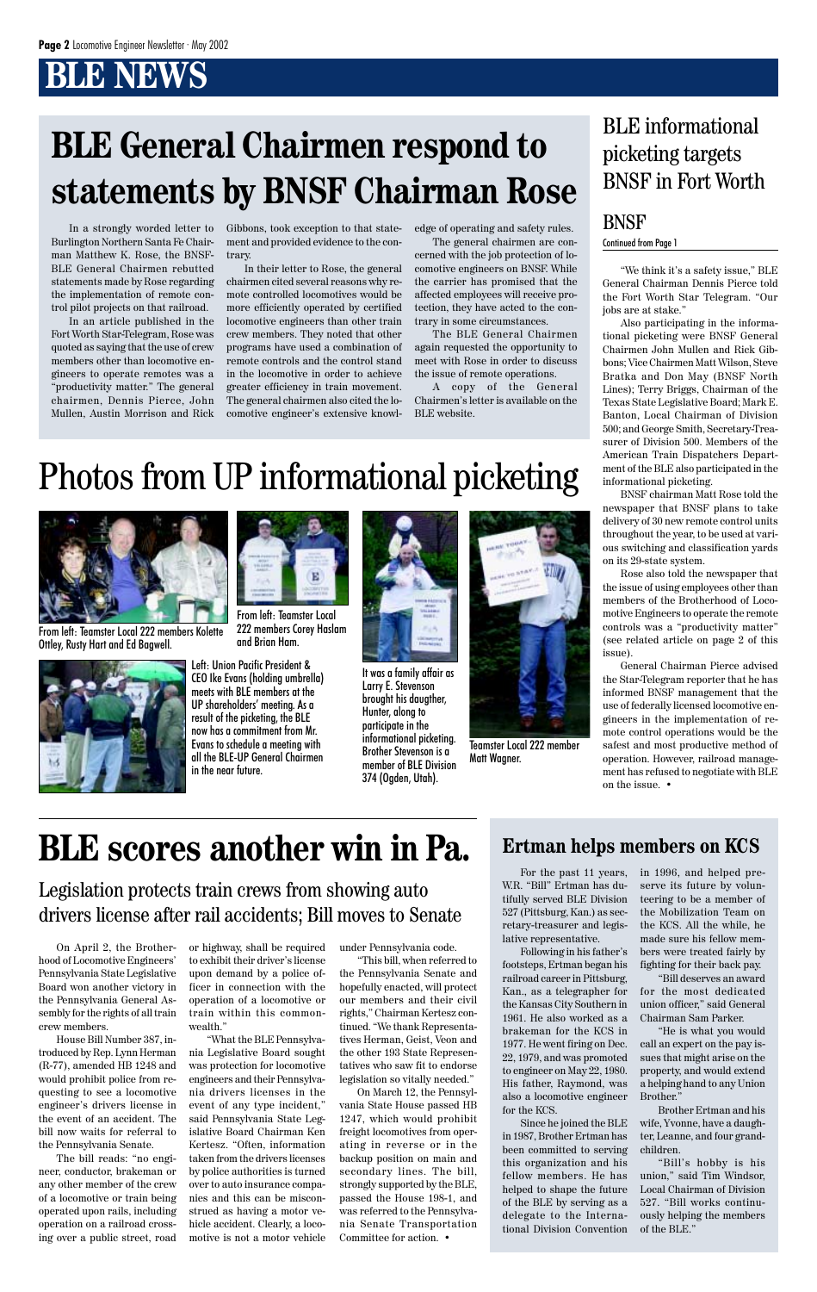"We think it's a safety issue," BLE General Chairman Dennis Pierce told the Fort Worth Star Telegram. "Our jobs are at stake."

Also participating in the informational picketing were BNSF General Chairmen John Mullen and Rick Gibbons; Vice Chairmen Matt Wilson, Steve Bratka and Don May (BNSF North Lines); Terry Briggs, Chairman of the Texas State Legislative Board; Mark E. Banton, Local Chairman of Division 500; and George Smith, Secretary-Treasurer of Division 500. Members of the American Train Dispatchers Department of the BLE also participated in the informational picketing.

BNSF chairman Matt Rose told the newspaper that BNSF plans to take delivery of 30 new remote control units throughout the year, to be used at various switching and classification yards on its 29-state system.

Rose also told the newspaper that the issue of using employees other than members of the Brotherhood of Locomotive Engineers to operate the remote controls was a "productivity matter" (see related article on page 2 of this issue).

General Chairman Pierce advised the Star-Telegram reporter that he has informed BNSF management that the use of federally licensed locomotive engineers in the implementation of remote control operations would be the safest and most productive method of operation. However, railroad management has refused to negotiate with BLE on the issue. •

In a strongly worded letter to Burlington Northern Santa Fe Chairman Matthew K. Rose, the BNSF-BLE General Chairmen rebutted statements made by Rose regarding the implementation of remote control pilot projects on that railroad.

In an article published in the Fort Worth Star-Telegram, Rose was quoted as saying that the use of crew members other than locomotive engineers to operate remotes was a "productivity matter." The general chairmen, Dennis Pierce, John Mullen, Austin Morrison and Rick Gibbons, took exception to that statement and provided evidence to the contrary.

In their letter to Rose, the general chairmen cited several reasons why remote controlled locomotives would be more efficiently operated by certified locomotive engineers than other train crew members. They noted that other programs have used a combination of remote controls and the control stand in the locomotive in order to achieve greater efficiency in train movement. The general chairmen also cited the locomotive engineer's extensive knowl-

### BNSF Continued from Page 1

edge of operating and safety rules.

The general chairmen are concerned with the job protection of locomotive engineers on BNSF. While the carrier has promised that the affected employees will receive protection, they have acted to the contrary in some circumstances.

The BLE General Chairmen again requested the opportunity to meet with Rose in order to discuss the issue of remote operations.

A copy of the General Chairmen's letter is available on the BLE website.

# **BLE General Chairmen respond to statements by BNSF Chairman Rose**

# Photos from UP informational picketing

### BLE informational picketing targets BNSF in Fort Worth

hood of Locomotive Engineers' Pennsylvania State Legislative Board won another victory in the Pennsylvania General Assembly for the rights of all train crew members.

House Bill Number 387, introduced by Rep. Lynn Herman (R-77), amended HB 1248 and would prohibit police from requesting to see a locomotive engineer's drivers license in the event of an accident. The bill now waits for referral to the Pennsylvania Senate.

The bill reads: "no engineer, conductor, brakeman or any other member of the crew of a locomotive or train being operated upon rails, including operation on a railroad crossing over a public street, road

On April 2, the Brother-or highway, shall be required under Pennsylvania code.

to exhibit their driver's license upon demand by a police officer in connection with the operation of a locomotive or train within this commonwealth."

"What the BLE Pennsylvania Legislative Board sought was protection for locomotive engineers and their Pennsylvania drivers licenses in the event of any type incident," said Pennsylvania State Legislative Board Chairman Ken Kertesz. "Often, information taken from the drivers licenses by police authorities is turned over to auto insurance companies and this can be misconstrued as having a motor vehicle accident. Clearly, a locomotive is not a motor vehicle

"This bill, when referred to the Pennsylvania Senate and hopefully enacted, will protect our members and their civil rights," Chairman Kertesz continued. "We thank Representatives Herman, Geist, Veon and the other 193 State Representatives who saw fit to endorse legislation so vitally needed."

On March 12, the Pennsylvania State House passed HB 1247, which would prohibit freight locomotives from operating in reverse or in the backup position on main and secondary lines. The bill, strongly supported by the BLE, passed the House 198-1, and was referred to the Pennsylvania Senate Transportation Committee for action. •

# **BLE scores another win in Pa.**

### Legislation protects train crews from showing auto drivers license after rail accidents; Bill moves to Senate

For the past 11 years, W.R. "Bill" Ertman has dutifully served BLE Division 527 (Pittsburg, Kan.) as secretary-treasurer and legislative representative. Following in his father's footsteps, Ertman began his railroad career in Pittsburg, Kan., as a telegrapher for the Kansas City Southern in 1961. He also worked as a brakeman for the KCS in 1977. He went firing on Dec. 22, 1979, and was promoted to engineer on May 22, 1980. His father, Raymond, was also a locomotive engineer for the KCS. Since he joined the BLE in 1987, Brother Ertman has been committed to serving this organization and his fellow members. He has helped to shape the future of the BLE by serving as a delegate to the International Division Convention

in 1996, and helped preserve its future by volunteering to be a member of the Mobilization Team on the KCS. All the while, he made sure his fellow mem-

bers were treated fairly by fighting for their back pay. "Bill deserves an award

for the most dedicated union officer," said General Chairman Sam Parker.

"He is what you would call an expert on the pay issues that might arise on the property, and would extend a helping hand to any Union Brother."

Brother Ertman and his wife, Yvonne, have a daughter, Leanne, and four grandchildren.

"Bill's hobby is his union," said Tim Windsor, Local Chairman of Division 527. "Bill works continuously helping the members of the BLE."

### **Ertman helps members on KCS**



From left: Teamster Local 222 members Kolette Ottley, Rusty Hart and Ed Bagwell.



From left: Teamster Local

222 members Corey Haslam and Brian Ham.



Teamster Local 222 member Matt Wagner.

Left: Union Pacific President & CEO Ike Evans (holding umbrella) meets with BLE members at the UP shareholders' meeting. As a result of the picketing, the BLE now has a commitment from Mr. Evans to schedule a meeting with all the BLE-UP General Chairmen in the near future.



It was a family affair as Larry E. Stevenson brought his daugther, Hunter, along to participate in the informational picketing. Brother Stevenson is a member of BLE Division 374 (Ogden, Utah).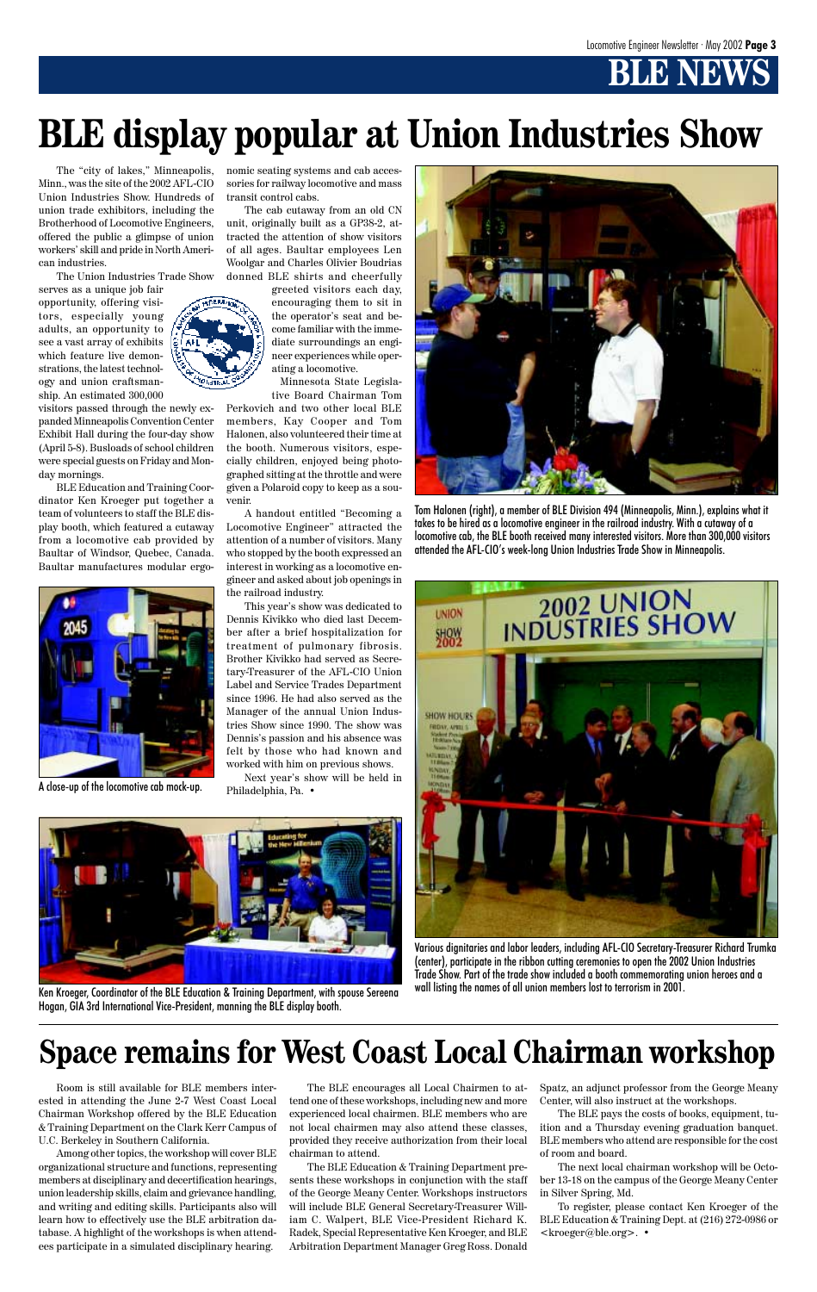# **BENEWS**

The "city of lakes," Minneapolis, Minn., was the site of the 2002 AFL-CIO Union Industries Show. Hundreds of union trade exhibitors, including the Brotherhood of Locomotive Engineers, offered the public a glimpse of union workers' skill and pride in North American industries.

The Union Industries Trade Show

serves as a unique job fair opportunity, offering visitors, especially young adults, an opportunity to see a vast array of exhibits which feature live demonstrations, the latest technology and union craftsmanship. An estimated 300,000

visitors passed through the newly expanded Minneapolis Convention Center Exhibit Hall during the four-day show (April 5-8). Busloads of school children were special guests on Friday and Monday mornings.

BLE Education and Training Coordinator Ken Kroeger put together a team of volunteers to staff the BLE display booth, which featured a cutaway from a locomotive cab provided by Baultar of Windsor, Quebec, Canada. Baultar manufactures modular ergonomic seating systems and cab accessories for railway locomotive and mass transit control cabs.

The cab cutaway from an old CN unit, originally built as a GP38-2, attracted the attention of show visitors of all ages. Baultar employees Len Woolgar and Charles Olivier Boudrias donned BLE shirts and cheerfully

> greeted visitors each day, encouraging them to sit in the operator's seat and become familiar with the immediate surroundings an engineer experiences while operating a locomotive.

Minnesota State Legislative Board Chairman Tom

Perkovich and two other local BLE members, Kay Cooper and Tom Halonen, also volunteered their time at the booth. Numerous visitors, especially children, enjoyed being photographed sitting at the throttle and were given a Polaroid copy to keep as a souvenir.

A handout entitled "Becoming a Locomotive Engineer" attracted the attention of a number of visitors. Many who stopped by the booth expressed an interest in working as a locomotive engineer and asked about job openings in the railroad industry.

This year's show was dedicated to Dennis Kivikko who died last December after a brief hospitalization for treatment of pulmonary fibrosis. Brother Kivikko had served as Secretary-Treasurer of the AFL-CIO Union Label and Service Trades Department since 1996. He had also served as the Manager of the annual Union Industries Show since 1990. The show was Dennis's passion and his absence was felt by those who had known and worked with him on previous shows.

Next year's show will be held in Philadelphia, Pa. •





Room is still available for BLE members interested in attending the June 2-7 West Coast Local Chairman Workshop offered by the BLE Education & Training Department on the Clark Kerr Campus of U.C. Berkeley in Southern California.

Among other topics, the workshop will cover BLE organizational structure and functions, representing members at disciplinary and decertification hearings, union leadership skills, claim and grievance handling, and writing and editing skills. Participants also will learn how to effectively use the BLE arbitration database. A highlight of the workshops is when attendees participate in a simulated disciplinary hearing.

The BLE encourages all Local Chairmen to attend one of these workshops, including new and more experienced local chairmen. BLE members who are not local chairmen may also attend these classes, provided they receive authorization from their local chairman to attend.

The BLE Education & Training Department presents these workshops in conjunction with the staff of the George Meany Center. Workshops instructors will include BLE General Secretary-Treasurer William C. Walpert, BLE Vice-President Richard K. Radek, Special Representative Ken Kroeger, and BLE Arbitration Department Manager Greg Ross. Donald

Spatz, an adjunct professor from the George Meany Center, will also instruct at the workshops.

The BLE pays the costs of books, equipment, tuition and a Thursday evening graduation banquet. BLE members who attend are responsible for the cost of room and board.

The next local chairman workshop will be October 13-18 on the campus of the George Meany Center in Silver Spring, Md.

To register, please contact Ken Kroeger of the BLE Education & Training Dept. at (216) 272-0986 or <kroeger@ble.org>. •

# **Space remains for West Coast Local Chairman workshop**

# **BLE display popular at Union Industries Show**

Ken Kroeger, Coordinator of the BLE Education & Training Department, with spouse Sereena Hogan, GIA 3rd International Vice-President, manning the BLE display booth.



A close-up of the locomotive cab mock-up.

Tom Halonen (right), a member of BLE Division 494 (Minneapolis, Minn.), explains what it takes to be hired as a locomotive engineer in the railroad industry. With a cutaway of a locomotive cab, the BLE booth received many interested visitors. More than 300,000 visitors attended the AFL-CIO's week-long Union Industries Trade Show in Minneapolis.





Various dignitaries and labor leaders, including AFL-CIO Secretary-Treasurer Richard Trumka (center), participate in the ribbon cutting ceremonies to open the 2002 Union Industries Trade Show. Part of the trade show included a booth commemorating union heroes and a wall listing the names of all union members lost to terrorism in 2001.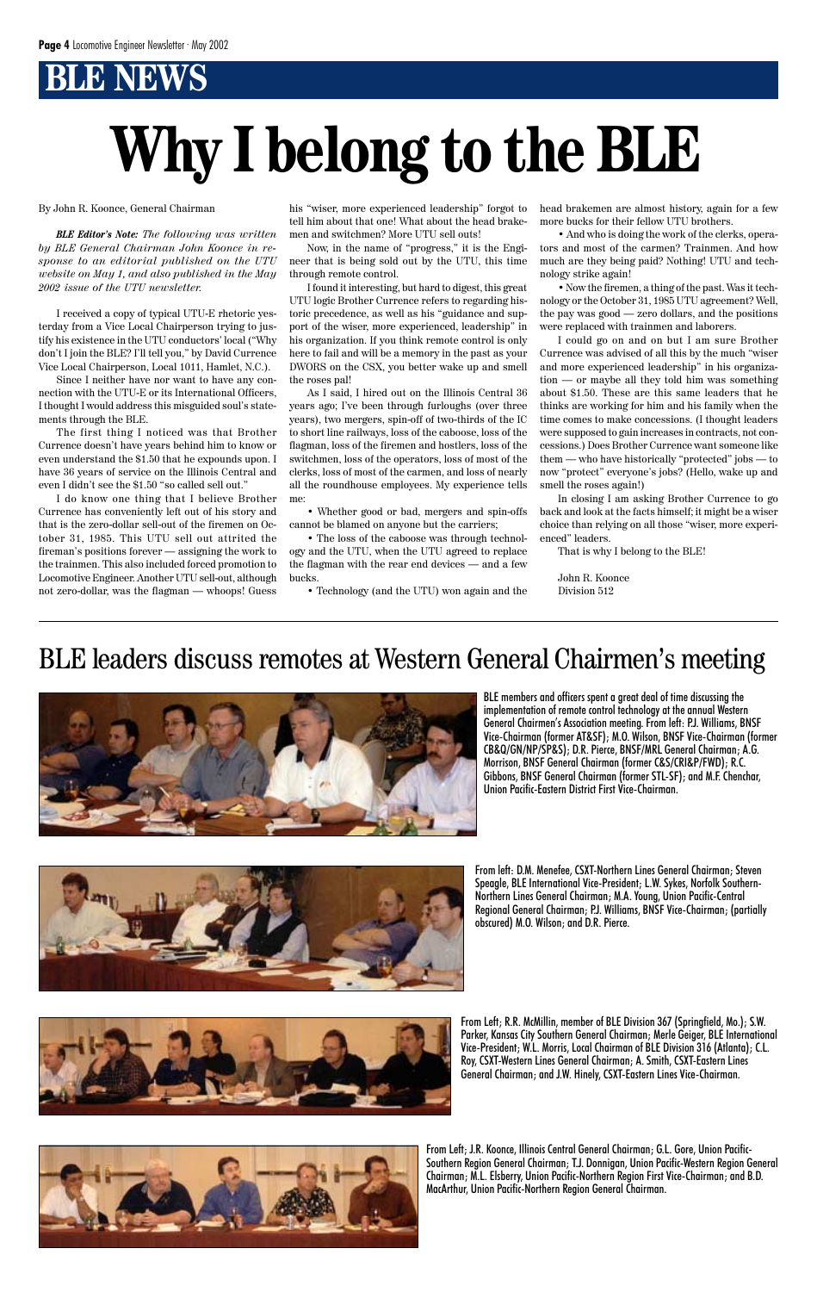By John R. Koonce, General Chairman

*BLE Editor's Note: The following was written by BLE General Chairman John Koonce in response to an editorial published on the UTU website on May 1, and also published in the May 2002 issue of the UTU newsletter.*

I received a copy of typical UTU-E rhetoric yesterday from a Vice Local Chairperson trying to justify his existence in the UTU conductors' local ("Why don't I join the BLE? I'll tell you," by David Currence Vice Local Chairperson, Local 1011, Hamlet, N.C.).

Since I neither have nor want to have any connection with the UTU-E or its International Officers, I thought I would address this misguided soul's statements through the BLE.

The first thing I noticed was that Brother Currence doesn't have years behind him to know or even understand the \$1.50 that he expounds upon. I have 36 years of service on the Illinois Central and even I didn't see the \$1.50 "so called sell out."

I do know one thing that I believe Brother Currence has conveniently left out of his story and that is the zero-dollar sell-out of the firemen on October 31, 1985. This UTU sell out attrited the fireman's positions forever — assigning the work to the trainmen. This also included forced promotion to Locomotive Engineer. Another UTU sell-out, although not zero-dollar, was the flagman — whoops! Guess

his "wiser, more experienced leadership" forgot to tell him about that one! What about the head brakemen and switchmen? More UTU sell outs!

Now, in the name of "progress," it is the Engineer that is being sold out by the UTU, this time through remote control.

I found it interesting, but hard to digest, this great UTU logic Brother Currence refers to regarding historic precedence, as well as his "guidance and support of the wiser, more experienced, leadership" in his organization. If you think remote control is only here to fail and will be a memory in the past as your DWORS on the CSX, you better wake up and smell the roses pal!

As I said, I hired out on the Illinois Central 36 years ago; I've been through furloughs (over three years), two mergers, spin-off of two-thirds of the IC to short line railways, loss of the caboose, loss of the flagman, loss of the firemen and hostlers, loss of the switchmen, loss of the operators, loss of most of the clerks, loss of most of the carmen, and loss of nearly all the roundhouse employees. My experience tells me:

• Whether good or bad, mergers and spin-offs cannot be blamed on anyone but the carriers;

• The loss of the caboose was through technology and the UTU, when the UTU agreed to replace the flagman with the rear end devices — and a few bucks.

• Technology (and the UTU) won again and the

head brakemen are almost history, again for a few more bucks for their fellow UTU brothers.

• And who is doing the work of the clerks, operators and most of the carmen? Trainmen. And how much are they being paid? Nothing! UTU and technology strike again!

• Now the firemen, a thing of the past. Was it technology or the October 31, 1985 UTU agreement? Well, the pay was good — zero dollars, and the positions were replaced with trainmen and laborers.

I could go on and on but I am sure Brother Currence was advised of all this by the much "wiser and more experienced leadership" in his organization — or maybe all they told him was something about \$1.50. These are this same leaders that he thinks are working for him and his family when the time comes to make concessions. (I thought leaders were supposed to gain increases in contracts, not concessions.) Does Brother Currence want someone like them — who have historically "protected" jobs — to now "protect" everyone's jobs? (Hello, wake up and smell the roses again!)

In closing I am asking Brother Currence to go back and look at the facts himself; it might be a wiser choice than relying on all those "wiser, more experienced" leaders.

That is why I belong to the BLE!

John R. Koonce Division 512

# **Why I belong to the BLE**

### BLE leaders discuss remotes at Western General Chairmen's meeting



BLE members and officers spent a great deal of time discussing the implementation of remote control technology at the annual Western General Chairmen's Association meeting. From left: P.J. Williams, BNSF Vice-Chairman (former AT&SF); M.O. Wilson, BNSF Vice-Chairman (former CB&Q/GN/NP/SP&S); D.R. Pierce, BNSF/MRL General Chairman; A.G. Morrison, BNSF General Chairman (former C&S/CRI&P/FWD); R.C. Gibbons, BNSF General Chairman (former STL-SF); and M.F. Chenchar, Union Pacific-Eastern District First Vice-Chairman.



From left: D.M. Menefee, CSXT-Northern Lines General Chairman; Steven Speagle, BLE International Vice-President; L.W. Sykes, Norfolk Southern-Northern Lines General Chairman; M.A. Young, Union Pacific-Central Regional General Chairman; P.J. Williams, BNSF Vice-Chairman; (partially obscured) M.O. Wilson; and D.R. Pierce.



From Left; R.R. McMillin, member of BLE Division 367 (Springfield, Mo.); S.W. Parker, Kansas City Southern General Chairman; Merle Geiger, BLE International Vice-President; W.L. Morris, Local Chairman of BLE Division 316 (Atlanta); C.L. Roy, CSXT-Western Lines General Chairman; A. Smith, CSXT-Eastern Lines General Chairman; and J.W. Hinely, CSXT-Eastern Lines Vice-Chairman.



From Left; J.R. Koonce, Illinois Central General Chairman; G.L. Gore, Union Pacific-Southern Region General Chairman; T.J. Donnigan, Union Pacific-Western Region General Chairman; M.L. Elsberry, Union Pacific-Northern Region First Vice-Chairman; and B.D. MacArthur, Union Pacific-Northern Region General Chairman.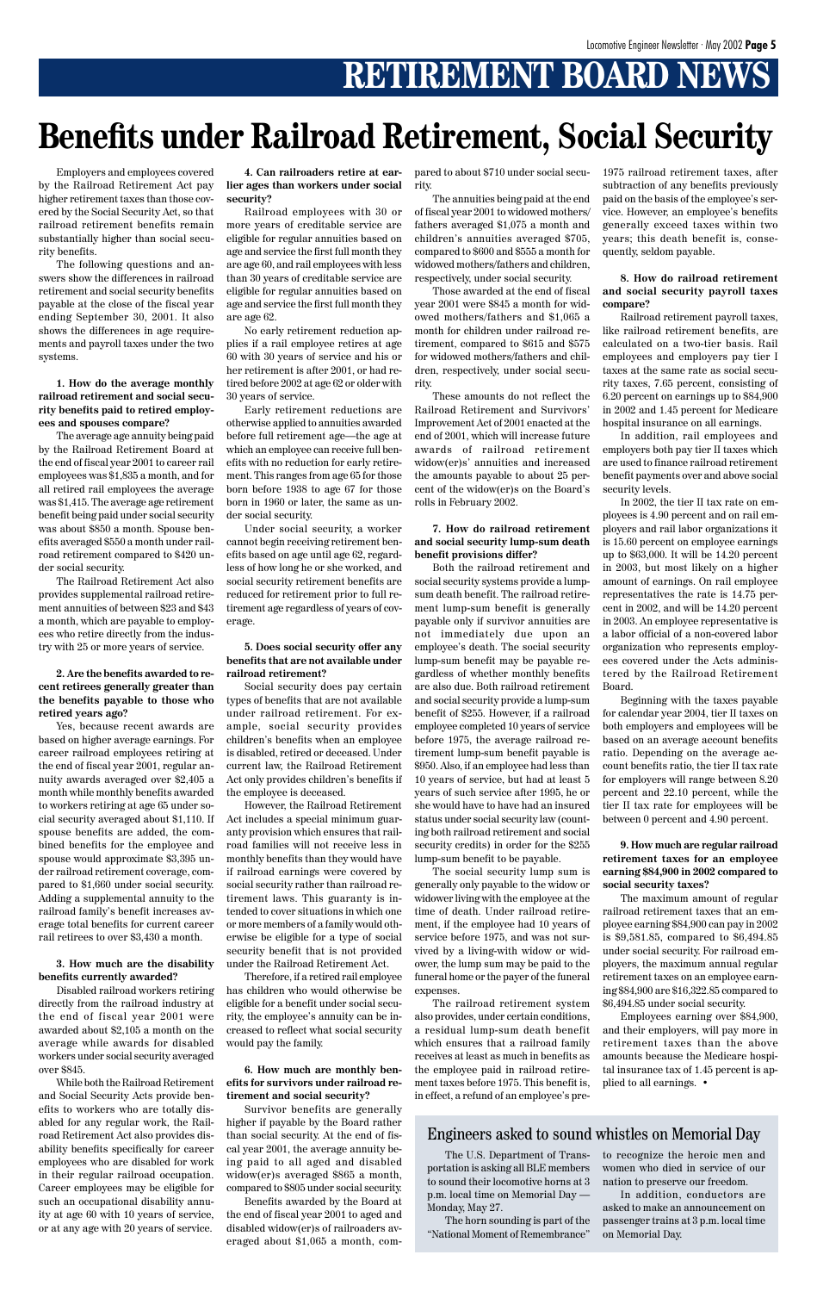# **RETIREMENT BOARD NEWS**

Employers and employees covered by the Railroad Retirement Act pay higher retirement taxes than those covered by the Social Security Act, so that railroad retirement benefits remain substantially higher than social security benefits.

The following questions and answers show the differences in railroad retirement and social security benefits payable at the close of the fiscal year ending September 30, 2001. It also shows the differences in age requirements and payroll taxes under the two systems.

**1. How do the average monthly railroad retirement and social security benefits paid to retired employees and spouses compare?**

The average age annuity being paid by the Railroad Retirement Board at the end of fiscal year 2001 to career rail employees was \$1,835 a month, and for all retired rail employees the average was \$1,415. The average age retirement benefit being paid under social security was about \$850 a month. Spouse benefits averaged \$550 a month under railroad retirement compared to \$420 under social security.

The Railroad Retirement Act also provides supplemental railroad retirement annuities of between \$23 and \$43 a month, which are payable to employees who retire directly from the industry with 25 or more years of service.

**2. Are the benefits awarded to recent retirees generally greater than the benefits payable to those who retired years ago?**

Yes, because recent awards are based on higher average earnings. For career railroad employees retiring at the end of fiscal year 2001, regular annuity awards averaged over \$2,405 a month while monthly benefits awarded to workers retiring at age 65 under social security averaged about \$1,110. If spouse benefits are added, the combined benefits for the employee and spouse would approximate \$3,395 under railroad retirement coverage, compared to \$1,660 under social security. Adding a supplemental annuity to the railroad family's benefit increases average total benefits for current career rail retirees to over \$3,430 a month.

**3. How much are the disability benefits currently awarded?**

Disabled railroad workers retiring directly from the railroad industry at the end of fiscal year 2001 were awarded about \$2,105 a month on the average while awards for disabled workers under social security averaged over \$845.

While both the Railroad Retirement and Social Security Acts provide benefits to workers who are totally disabled for any regular work, the Railroad Retirement Act also provides disability benefits specifically for career employees who are disabled for work in their regular railroad occupation. Career employees may be eligible for such an occupational disability annuity at age 60 with 10 years of service, or at any age with 20 years of service.

**4. Can railroaders retire at earlier ages than workers under social security?**

Railroad employees with 30 or more years of creditable service are eligible for regular annuities based on age and service the first full month they are age 60, and rail employees with less than 30 years of creditable service are eligible for regular annuities based on age and service the first full month they are age 62.

No early retirement reduction applies if a rail employee retires at age 60 with 30 years of service and his or her retirement is after 2001, or had retired before 2002 at age 62 or older with 30 years of service.

Early retirement reductions are otherwise applied to annuities awarded before full retirement age—the age at which an employee can receive full benefits with no reduction for early retirement. This ranges from age 65 for those born before 1938 to age 67 for those born in 1960 or later, the same as under social security.

Under social security, a worker cannot begin receiving retirement benefits based on age until age 62, regardless of how long he or she worked, and social security retirement benefits are reduced for retirement prior to full retirement age regardless of years of coverage.

#### **5. Does social security offer any benefits that are not available under railroad retirement?**

Social security does pay certain types of benefits that are not available under railroad retirement. For example, social security provides children's benefits when an employee is disabled, retired or deceased. Under current law, the Railroad Retirement Act only provides children's benefits if the employee is deceased.

However, the Railroad Retirement Act includes a special minimum guaranty provision which ensures that railroad families will not receive less in monthly benefits than they would have if railroad earnings were covered by social security rather than railroad retirement laws. This guaranty is intended to cover situations in which one or more members of a family would otherwise be eligible for a type of social security benefit that is not provided under the Railroad Retirement Act.

Therefore, if a retired rail employee has children who would otherwise be eligible for a benefit under social security, the employee's annuity can be increased to reflect what social security would pay the family.

**6. How much are monthly benefits for survivors under railroad retirement and social security?**

Survivor benefits are generally higher if payable by the Board rather than social security. At the end of fiscal year 2001, the average annuity being paid to all aged and disabled widow(er)s averaged \$865 a month, compared to \$805 under social security.

Benefits awarded by the Board at the end of fiscal year 2001 to aged and disabled widow(er)s of railroaders averaged about \$1,065 a month, compared to about \$710 under social security.

The annuities being paid at the end of fiscal year 2001 to widowed mothers/ fathers averaged \$1,075 a month and children's annuities averaged \$705, compared to \$600 and \$555 a month for widowed mothers/fathers and children, respectively, under social security.

Those awarded at the end of fiscal year 2001 were \$845 a month for widowed mothers/fathers and \$1,065 a month for children under railroad retirement, compared to \$615 and \$575 for widowed mothers/fathers and children, respectively, under social security.

These amounts do not reflect the Railroad Retirement and Survivors' Improvement Act of 2001 enacted at the end of 2001, which will increase future awards of railroad retirement widow(er)s' annuities and increased the amounts payable to about 25 percent of the widow(er)s on the Board's rolls in February 2002.

#### **7. How do railroad retirement and social security lump-sum death benefit provisions differ?**

Both the railroad retirement and social security systems provide a lumpsum death benefit. The railroad retirement lump-sum benefit is generally payable only if survivor annuities are not immediately due upon an employee's death. The social security lump-sum benefit may be payable regardless of whether monthly benefits are also due. Both railroad retirement and social security provide a lump-sum benefit of \$255. However, if a railroad employee completed 10 years of service before 1975, the average railroad retirement lump-sum benefit payable is \$950. Also, if an employee had less than 10 years of service, but had at least 5 years of such service after 1995, he or she would have to have had an insured status under social security law (counting both railroad retirement and social security credits) in order for the \$255 lump-sum benefit to be payable.

The social security lump sum is generally only payable to the widow or widower living with the employee at the time of death. Under railroad retirement, if the employee had 10 years of service before 1975, and was not survived by a living-with widow or widower, the lump sum may be paid to the funeral home or the payer of the funeral expenses. The railroad retirement system also provides, under certain conditions, a residual lump-sum death benefit which ensures that a railroad family receives at least as much in benefits as the employee paid in railroad retirement taxes before 1975. This benefit is, in effect, a refund of an employee's pre1975 railroad retirement taxes, after subtraction of any benefits previously paid on the basis of the employee's service. However, an employee's benefits generally exceed taxes within two years; this death benefit is, consequently, seldom payable.

#### **8. How do railroad retirement and social security payroll taxes compare?**

Railroad retirement payroll taxes, like railroad retirement benefits, are calculated on a two-tier basis. Rail employees and employers pay tier I taxes at the same rate as social security taxes, 7.65 percent, consisting of 6.20 percent on earnings up to \$84,900 in 2002 and 1.45 percent for Medicare hospital insurance on all earnings.

In addition, rail employees and employers both pay tier II taxes which are used to finance railroad retirement benefit payments over and above social security levels.

In 2002, the tier II tax rate on employees is 4.90 percent and on rail employers and rail labor organizations it is 15.60 percent on employee earnings up to \$63,000. It will be 14.20 percent in 2003, but most likely on a higher amount of earnings. On rail employee representatives the rate is 14.75 percent in 2002, and will be 14.20 percent in 2003. An employee representative is a labor official of a non-covered labor organization who represents employees covered under the Acts administered by the Railroad Retirement Board.

Beginning with the taxes payable for calendar year 2004, tier II taxes on both employers and employees will be based on an average account benefits ratio. Depending on the average account benefits ratio, the tier II tax rate for employers will range between 8.20 percent and 22.10 percent, while the tier II tax rate for employees will be between 0 percent and 4.90 percent.

#### **9. How much are regular railroad retirement taxes for an employee earning \$84,900 in 2002 compared to social security taxes?**

The maximum amount of regular railroad retirement taxes that an employee earning \$84,900 can pay in 2002 is \$9,581.85, compared to \$6,494.85 under social security. For railroad employers, the maximum annual regular retirement taxes on an employee earning \$84,900 are \$16,322.85 compared to \$6,494.85 under social security.

Employees earning over \$84,900, and their employers, will pay more in retirement taxes than the above amounts because the Medicare hospital insurance tax of 1.45 percent is applied to all earnings. •

# **Benefits under Railroad Retirement, Social Security**

### Engineers asked to sound whistles on Memorial Day

The U.S. Department of Transportation is asking all BLE members to sound their locomotive horns at 3 p.m. local time on Memorial Day — Monday, May 27.

The horn sounding is part of the "National Moment of Remembrance"

to recognize the heroic men and women who died in service of our nation to preserve our freedom.

In addition, conductors are asked to make an announcement on passenger trains at 3 p.m. local time on Memorial Day.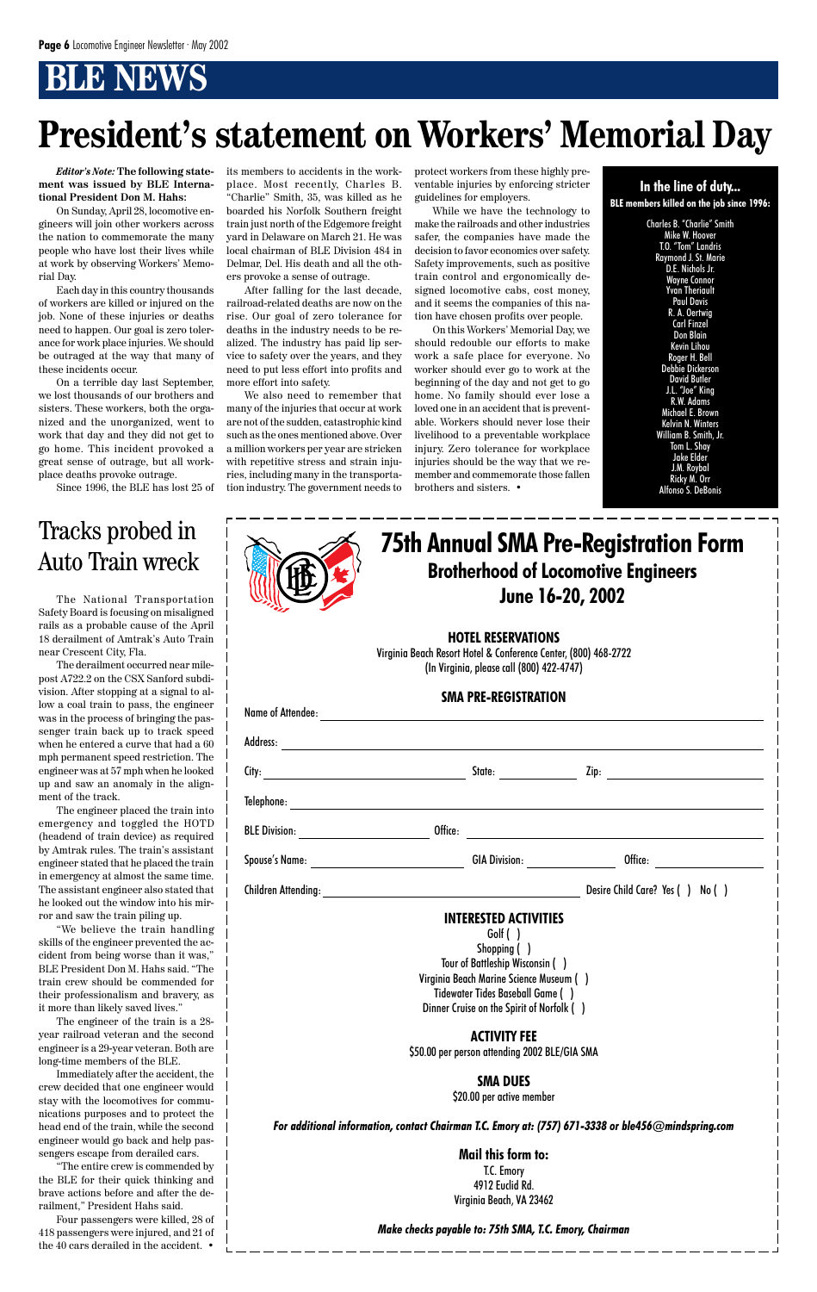### **Brotherhood of Locomotive Engineers June 16-20, 2002 75th Annual SMA Pre-Registration Form**

#### **HOTEL RESERVATIONS**

Virginia Beach Resort Hotel & Conference Center, (800) 468-2722 (In Virginia, please call (800) 422-4747)

#### **SMA PRE-REGISTRATION**

| Name of Attendee:                      |         |                                                                                                                                                                                                                                      |                                 |
|----------------------------------------|---------|--------------------------------------------------------------------------------------------------------------------------------------------------------------------------------------------------------------------------------------|---------------------------------|
| Address:                               |         |                                                                                                                                                                                                                                      |                                 |
|                                        |         | State:                                                                                                                                                                                                                               |                                 |
|                                        |         |                                                                                                                                                                                                                                      |                                 |
| BLE Division: <u>_________________</u> | Office: |                                                                                                                                                                                                                                      |                                 |
|                                        |         | GIA Division: <u>New York Contract on the Second State of the Second State of the Second State of the Second State of the Second State of the Second State of the Second State of the Second State of the Second State of the Se</u> |                                 |
|                                        |         |                                                                                                                                                                                                                                      | Desire Child Care? Yes () No () |
|                                        |         | <b>INTERESTED ACTIVITIES</b><br>Golf()                                                                                                                                                                                               |                                 |

Shopping ( ) Tour of Battleship Wisconsin ( ) Virginia Beach Marine Science Museum ( ) Tidewater Tides Baseball Game ( ) Dinner Cruise on the Spirit of Norfolk ( )

**ACTIVITY FEE** \$50.00 per person attending 2002 BLE/GIA SMA

#### **SMA DUES** \$20.00 per active member

#### *For additional information, contact Chairman T.C. Emory at: (757) 671-3338 or ble456@mindspring.com*

**Mail this form to:** T.C. Emory 4912 Euclid Rd. Virginia Beach, VA 23462

#### *Make checks payable to: 75th SMA, T.C. Emory, Chairman*

*Editor's Note:* **The following statement was issued by BLE International President Don M. Hahs:**

On Sunday, April 28, locomotive engineers will join other workers across the nation to commemorate the many people who have lost their lives while at work by observing Workers' Memorial Day.

Each day in this country thousands of workers are killed or injured on the job. None of these injuries or deaths need to happen. Our goal is zero tolerance for work place injuries. We should be outraged at the way that many of these incidents occur.

On a terrible day last September, we lost thousands of our brothers and sisters. These workers, both the organized and the unorganized, went to work that day and they did not get to go home. This incident provoked a great sense of outrage, but all workplace deaths provoke outrage.

Since 1996, the BLE has lost 25 of

its members to accidents in the workplace. Most recently, Charles B. "Charlie" Smith, 35, was killed as he boarded his Norfolk Southern freight train just north of the Edgemore freight yard in Delaware on March 21. He was local chairman of BLE Division 484 in Delmar, Del. His death and all the others provoke a sense of outrage.

After falling for the last decade, railroad-related deaths are now on the rise. Our goal of zero tolerance for deaths in the industry needs to be realized. The industry has paid lip service to safety over the years, and they need to put less effort into profits and more effort into safety.

We also need to remember that many of the injuries that occur at work are not of the sudden, catastrophic kind such as the ones mentioned above. Over a million workers per year are stricken with repetitive stress and strain injuries, including many in the transportation industry. The government needs to protect workers from these highly preventable injuries by enforcing stricter guidelines for employers.

While we have the technology to make the railroads and other industries safer, the companies have made the decision to favor economics over safety. Safety improvements, such as positive train control and ergonomically designed locomotive cabs, cost money, and it seems the companies of this nation have chosen profits over people.

On this Workers' Memorial Day, we should redouble our efforts to make work a safe place for everyone. No worker should ever go to work at the beginning of the day and not get to go home. No family should ever lose a loved one in an accident that is preventable. Workers should never lose their livelihood to a preventable workplace injury. Zero tolerance for workplace injuries should be the way that we remember and commemorate those fallen brothers and sisters. •

Charles B. "Charlie" Smith Mike W. Hoover T.O. "Tom" Landris Raymond J. St. Marie D.E. Nichols Jr. Wayne Connor Yvan Theriault Paul Davis R. A. Oertwig Carl Finzel Don Blain Kevin Lihou Roger H. Bell Debbie Dickerson David Butler J.L. "Joe" King R.W. Adams Michael E. Brown Kelvin N. Winters William B. Smith, Jr. Tom L. Shay Jake Elder J.M. Roybal Ricky M. Orr Alfonso S. DeBonis



# **President's statement on Workers' Memorial Day**

The National Transportation Safety Board is focusing on misaligned rails as a probable cause of the April 18 derailment of Amtrak's Auto Train near Crescent City, Fla.

The derailment occurred near milepost A722.2 on the CSX Sanford subdivision. After stopping at a signal to allow a coal train to pass, the engineer was in the process of bringing the passenger train back up to track speed when he entered a curve that had a 60 mph permanent speed restriction. The engineer was at 57 mph when he looked up and saw an anomaly in the alignment of the track.

The engineer placed the train into emergency and toggled the HOTD (headend of train device) as required by Amtrak rules. The train's assistant engineer stated that he placed the train in emergency at almost the same time. The assistant engineer also stated that he looked out the window into his mirror and saw the train piling up.

"We believe the train handling skills of the engineer prevented the accident from being worse than it was," BLE President Don M. Hahs said. "The train crew should be commended for their professionalism and bravery, as it more than likely saved lives."

| F<br>łł |  |
|---------|--|
|         |  |

The engineer of the train is a 28 year railroad veteran and the second engineer is a 29-year veteran. Both are long-time members of the BLE.

Immediately after the accident, the crew decided that one engineer would stay with the locomotives for communications purposes and to protect the head end of the train, while the second engineer would go back and help passengers escape from derailed cars.

"The entire crew is commended by the BLE for their quick thinking and brave actions before and after the derailment," President Hahs said.

Four passengers were killed, 28 of 418 passengers were injured, and 21 of the 40 cars derailed in the accident. •

### Tracks probed in Auto Train wreck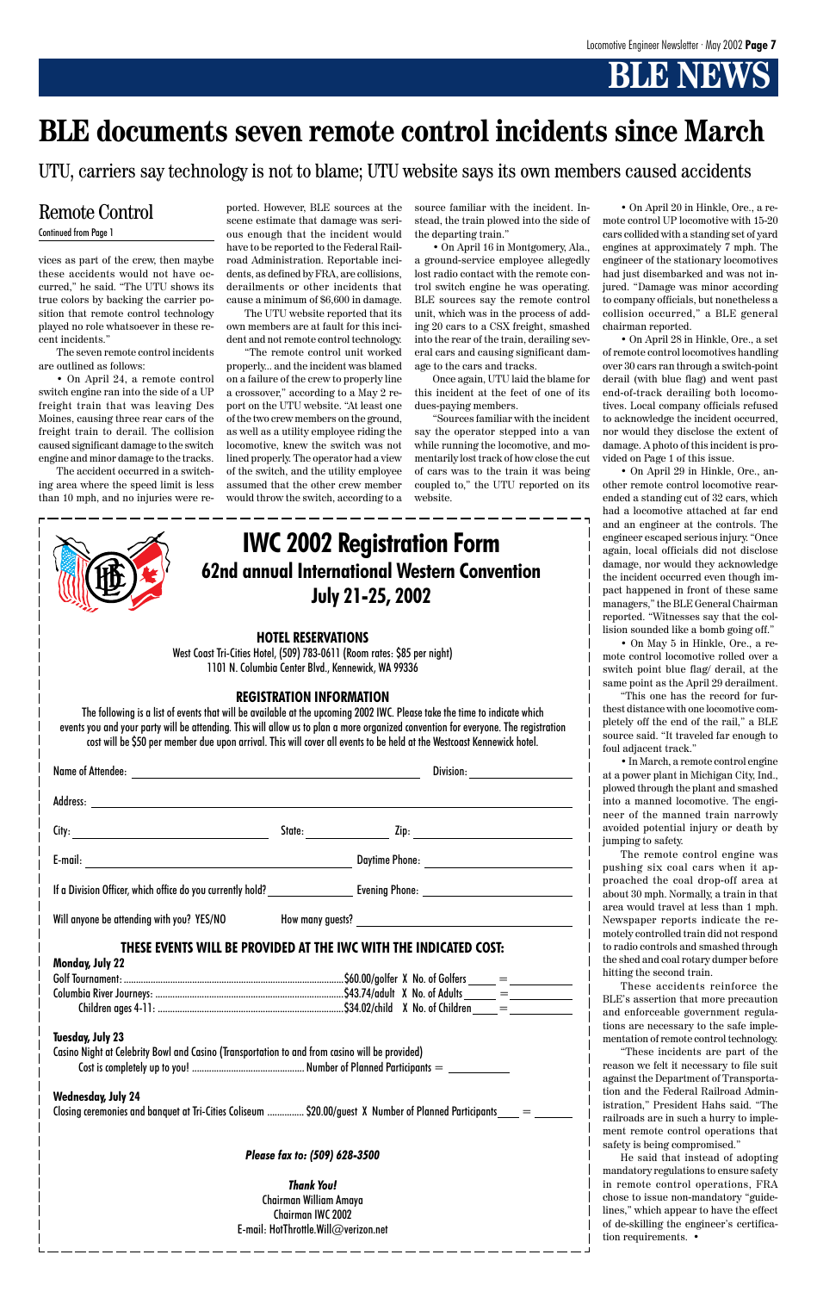### **62nd annual International Western Convention July 21-25, 2002 IWC 2002 Registration Form**

#### **HOTEL RESERVATIONS**

West Coast Tri-Cities Hotel, (509) 783-0611 (Room rates: \$85 per night) 1101 N. Columbia Center Blvd., Kennewick, WA 99336

#### **REGISTRATION INFORMATION**

| <b>Name of Attendee:</b><br><u> 1989 - Andrea Santa Andrea Andrea Santa Andrea Andrea Andrea Andrea Andrea Andrea Andrea Andrea Andrea Andre</u> |                                                                                                                                                                                                                                | Division:                                   |  |
|--------------------------------------------------------------------------------------------------------------------------------------------------|--------------------------------------------------------------------------------------------------------------------------------------------------------------------------------------------------------------------------------|---------------------------------------------|--|
|                                                                                                                                                  |                                                                                                                                                                                                                                |                                             |  |
| City:                                                                                                                                            | State: the state of the state of the state of the state of the state of the state of the state of the state of the state of the state of the state of the state of the state of the state of the state of the state of the sta |                                             |  |
| E-mail:<br><u> 1989 - Andrea Station Barbara, amerikan personal (</u>                                                                            |                                                                                                                                                                                                                                | Daytime Phone: _____________________        |  |
| If a Division Officer, which office do you currently hold?                                                                                       |                                                                                                                                                                                                                                | Evening Phone: ____________________________ |  |
| Will anyone be attending with you? YES/NO                                                                                                        |                                                                                                                                                                                                                                |                                             |  |

The following is a list of events that will be available at the upcoming 2002 IWC. Please take the time to indicate which events you and your party will be attending. This will allow us to plan a more organized convention for everyone. The registration cost will be \$50 per member due upon arrival. This will cover all events to be held at the Westcoast Kennewick hotel.

vices as part of the crew, then maybe these accidents would not have occurred," he said. "The UTU shows its true colors by backing the carrier position that remote control technology played no role whatsoever in these recent incidents."

The seven remote control incidents are outlined as follows:

• On April 24, a remote control switch engine ran into the side of a UP freight train that was leaving Des Moines, causing three rear cars of the freight train to derail. The collision caused significant damage to the switch engine and minor damage to the tracks.

The accident occurred in a switching area where the speed limit is less than 10 mph, and no injuries were reported. However, BLE sources at the scene estimate that damage was serious enough that the incident would have to be reported to the Federal Railroad Administration. Reportable incidents, as defined by FRA, are collisions, derailments or other incidents that cause a minimum of \$6,600 in damage.

The UTU website reported that its own members are at fault for this incident and not remote control technology.

"The remote control unit worked properly... and the incident was blamed on a failure of the crew to properly line a crossover," according to a May 2 report on the UTU website. "At least one of the two crew members on the ground, as well as a utility employee riding the locomotive, knew the switch was not lined properly. The operator had a view of the switch, and the utility employee assumed that the other crew member would throw the switch, according to a source familiar with the incident. Instead, the train plowed into the side of the departing train."

• On April 16 in Montgomery, Ala., a ground-service employee allegedly lost radio contact with the remote control switch engine he was operating. BLE sources say the remote control unit, which was in the process of adding 20 cars to a CSX freight, smashed into the rear of the train, derailing several cars and causing significant damage to the cars and tracks.

Once again, UTU laid the blame for this incident at the feet of one of its dues-paying members.

#### **THESE EVENTS WILL BE PROVIDED AT THE IWC WITH THE INDICATED COST: Monday, July 22** Golf Tournament: ..........................................................................................\$60.00/golfer X No. of Golfers = Columbia River Journeys: .............................................................................\$43.74/adult X No. of Adults = Children ages 4-11: ............................................................................\$34.02/child X No. of Children = **Tuesday, July 23** Casino Night at Celebrity Bowl and Casino (Transportation to and from casino will be provided) Cost is completely up to you! .............................................. Number of Planned Participants = **Wednesday, July 24** Closing ceremonies and banquet at Tri-Cities Coliseum ............... \$20.00/guest X Number of Planned Participants = *Please fax to: (509) 628-3500 Thank You!* Chairman William Amaya Chairman IWC 2002 E-mail: HotThrottle.Will@verizon.net the shed and coal rotary dumper before hitting the second train. These accidents reinforce the BLE's assertion that more precaution and enforceable government regulations are necessary to the safe implementation of remote control technology. "These incidents are part of the reason we felt it necessary to file suit against the Department of Transportation and the Federal Railroad Administration," President Hahs said. "The railroads are in such a hurry to implement remote control operations that safety is being compromised." He said that instead of adopting mandatory regulations to ensure safety in remote control operations, FRA chose to issue non-mandatory "guidelines," which appear to have the effect of de-skilling the engineer's certifica-

"Sources familiar with the incident say the operator stepped into a van while running the locomotive, and momentarily lost track of how close the cut of cars was to the train it was being coupled to," the UTU reported on its website.

• On April 20 in Hinkle, Ore., a remote control UP locomotive with 15-20 cars collided with a standing set of yard engines at approximately 7 mph. The engineer of the stationary locomotives had just disembarked and was not injured. "Damage was minor according to company officials, but nonetheless a collision occurred," a BLE general chairman reported.

• On April 28 in Hinkle, Ore., a set of remote control locomotives handling over 30 cars ran through a switch-point derail (with blue flag) and went past end-of-track derailing both locomotives. Local company officials refused to acknowledge the incident occurred, nor would they disclose the extent of damage. A photo of this incident is provided on Page 1 of this issue.

• On April 29 in Hinkle, Ore., another remote control locomotive rearended a standing cut of 32 cars, which had a locomotive attached at far end and an engineer at the controls. The engineer escaped serious injury. "Once again, local officials did not disclose damage, nor would they acknowledge the incident occurred even though impact happened in front of these same managers," the BLE General Chairman reported. "Witnesses say that the collision sounded like a bomb going off."

• On May 5 in Hinkle, Ore., a remote control locomotive rolled over a switch point blue flag/ derail, at the same point as the April 29 derailment.

"This one has the record for furthest distance with one locomotive completely off the end of the rail," a BLE source said. "It traveled far enough to foul adjacent track."

• In March, a remote control engine at a power plant in Michigan City, Ind., plowed through the plant and smashed into a manned locomotive. The engineer of the manned train narrowly avoided potential injury or death by jumping to safety.

The remote control engine was pushing six coal cars when it approached the coal drop-off area at about 30 mph. Normally, a train in that area would travel at less than 1 mph. Newspaper reports indicate the remotely controlled train did not respond to radio controls and smashed through

| ł<br>IJ | í. |
|---------|----|
|         |    |
|         |    |

tion requirements. •

### **BLE documents seven remote control incidents since March**

### Remote Control

#### Continued from Page 1

UTU, carriers say technology is not to blame; UTU website says its own members caused accidents